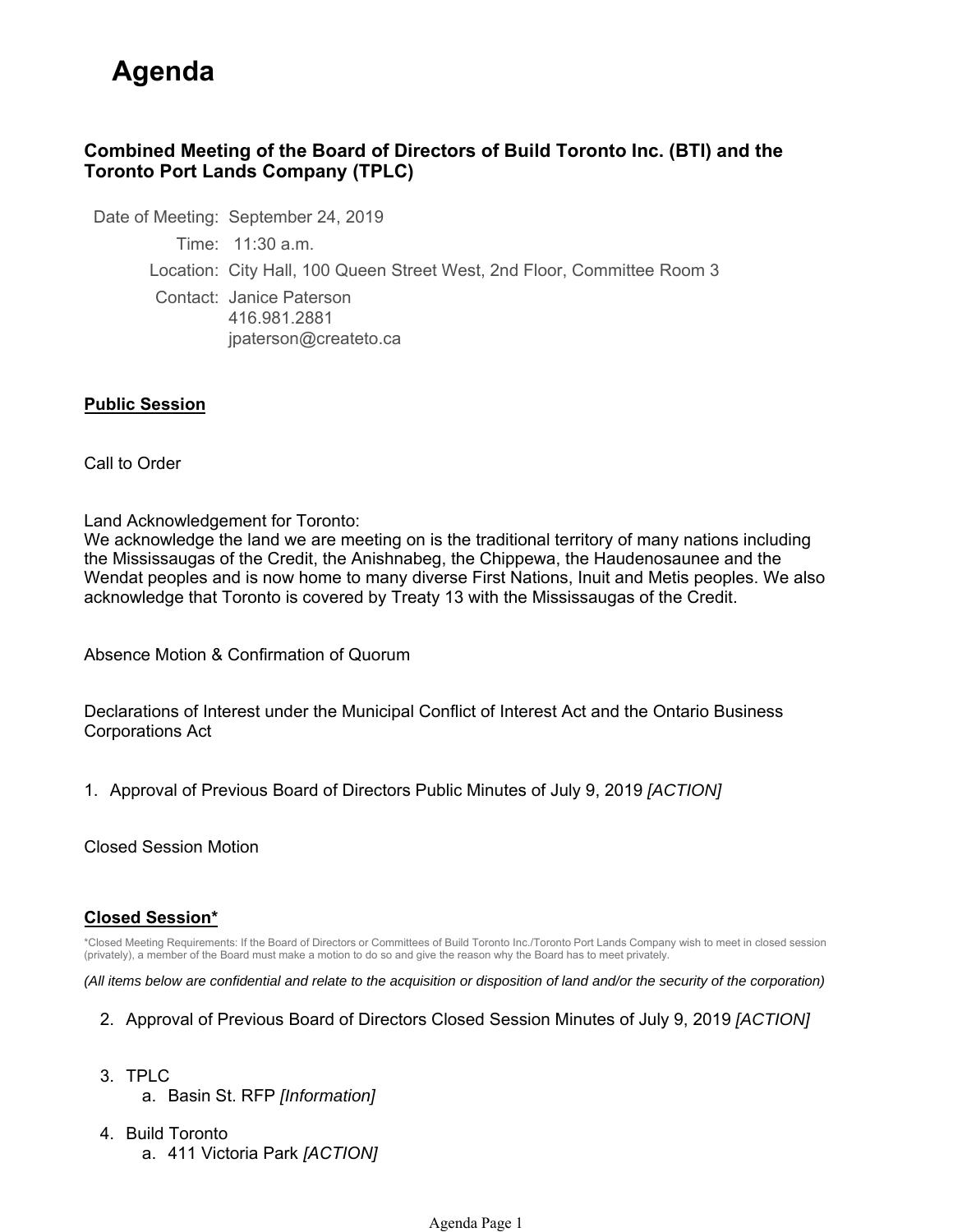# **Agenda**

## **Combined Meeting of the Board of Directors of Build Toronto Inc. (BTI) and the Toronto Port Lands Company (TPLC)**

Date of Meeting: September 24, 2019 Time: 11:30 a.m. Location: City Hall, 100 Queen Street West, 2nd Floor, Committee Room 3 Contact: Janice Paterson 416.981.2881 jpaterson@createto.ca

### **Public Session**

Call to Order

Land Acknowledgement for Toronto:

We acknowledge the land we are meeting on is the traditional territory of many nations including the Mississaugas of the Credit, the Anishnabeg, the Chippewa, the Haudenosaunee and the Wendat peoples and is now home to many diverse First Nations, Inuit and Metis peoples. We also acknowledge that Toronto is covered by Treaty 13 with the Mississaugas of the Credit.

Absence Motion & Confirmation of Quorum

Declarations of Interest under the Municipal Conflict of Interest Act and the Ontario Business Corporations Act

1. Approval of Previous Board of Directors Public Minutes of July 9, 2019 *[ACTION]* 

Closed Session Motion

#### **Closed Session\***

\*Closed Meeting Requirements: If the Board of Directors or Committees of Build Toronto Inc./Toronto Port Lands Company wish to meet in closed session (privately), a member of the Board must make a motion to do so and give the reason why the Board has to meet privately.

*(All items below are confidential and relate to the acquisition or disposition of land and/or the security of the corporation)*

- 2. Approval of Previous Board of Directors Closed Session Minutes of July 9, 2019 *[ACTION]*
- 3. TPLC a. Basin St. RFP *[Information]*
- 4. Build Toronto a. 411 Victoria Park *[ACTION]*